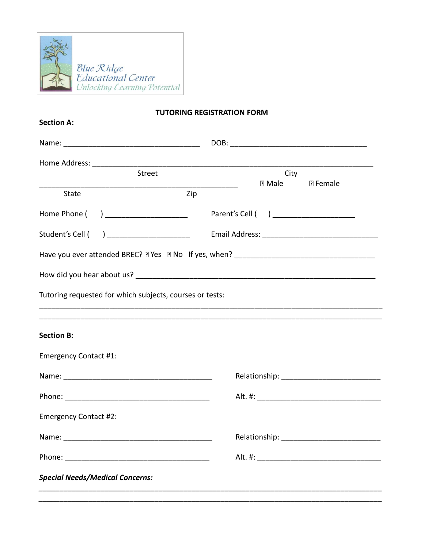

## **TUTORING REGISTRATION FORM**

| <b>Section A:</b>                                        |        |                                        |                         |  |  |  |
|----------------------------------------------------------|--------|----------------------------------------|-------------------------|--|--|--|
|                                                          |        |                                        |                         |  |  |  |
|                                                          |        |                                        |                         |  |  |  |
|                                                          | Street | $\mathbb D$ Male                       | City<br><b>7</b> Female |  |  |  |
| State                                                    | Zip    |                                        |                         |  |  |  |
| Home Phone ( ) _____________________                     |        | Parent's Cell ( ) ____________________ |                         |  |  |  |
| Student's Cell ( ) _____________________                 |        |                                        |                         |  |  |  |
|                                                          |        |                                        |                         |  |  |  |
|                                                          |        |                                        |                         |  |  |  |
| Tutoring requested for which subjects, courses or tests: |        |                                        |                         |  |  |  |
| <b>Section B:</b>                                        |        |                                        |                         |  |  |  |
| <b>Emergency Contact #1:</b>                             |        |                                        |                         |  |  |  |
|                                                          |        |                                        |                         |  |  |  |
|                                                          |        |                                        |                         |  |  |  |
| <b>Emergency Contact #2:</b>                             |        |                                        |                         |  |  |  |
|                                                          |        |                                        |                         |  |  |  |
|                                                          |        |                                        |                         |  |  |  |
| <b>Special Needs/Medical Concerns:</b>                   |        |                                        |                         |  |  |  |
|                                                          |        |                                        |                         |  |  |  |